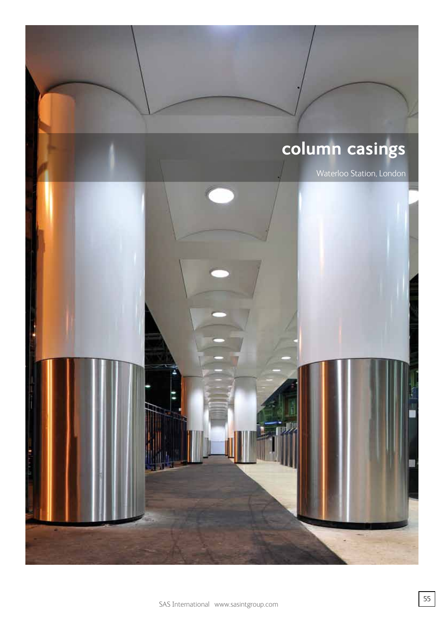